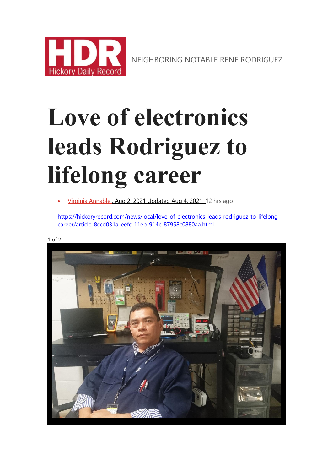

NEIGHBORING NOTABLE RENE RODRIGUEZ

# **Love of electronics leads Rodriguez to lifelong career**

[Virginia Annable](https://hickoryrecord.com/users/profile/Vannable) , Aug 2, 2021 Updated Aug 4, 2021 12 hrs ago

[https://hickoryrecord.com/news/local/love-of-electronics-leads-rodriguez-to-lifelong](https://hickoryrecord.com/news/local/love-of-electronics-leads-rodriguez-to-lifelong-career/article_8ccd031a-eefc-11eb-914c-87958c0880aa.html)[career/article\\_8ccd031a-eefc-11eb-914c-87958c0880aa.html](https://hickoryrecord.com/news/local/love-of-electronics-leads-rodriguez-to-lifelong-career/article_8ccd031a-eefc-11eb-914c-87958c0880aa.html)

1 of 2

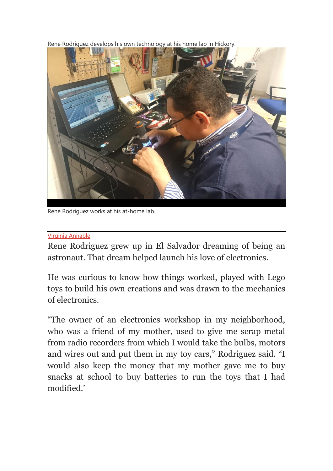Rene Rodriguez develops his own technology at his home lab in Hickor[y.](https://hickoryrecord.com/content/tncms/live/#2)



Rene Rodriguez works at his at-home lab.

#### [Virginia Annable](https://hickoryrecord.com/users/profile/Vannable)

Rene Rodriguez grew up in El Salvador dreaming of being an astronaut. That dream helped launch his love of electronics.

He was curious to know how things worked, played with Lego toys to build his own creations and was drawn to the mechanics of electronics.

"The owner of an electronics workshop in my neighborhood, who was a friend of my mother, used to give me scrap metal from radio recorders from which I would take the bulbs, motors and wires out and put them in my toy cars," Rodriguez said. "I would also keep the money that my mother gave me to buy snacks at school to buy batteries to run the toys that I had modified.'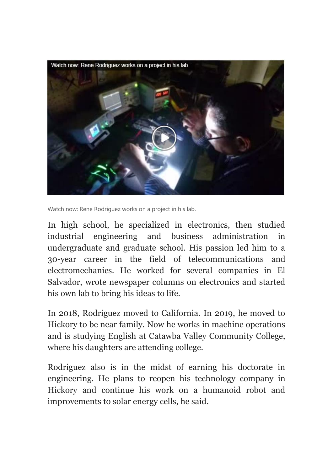

Watch now: Rene Rodriguez works on a project in his lab.

In high school, he specialized in electronics, then studied industrial engineering and business administration in undergraduate and graduate school. His passion led him to a 30-year career in the field of telecommunications and electromechanics. He worked for several companies in El Salvador, wrote newspaper columns on electronics and started his own lab to bring his ideas to life.

In 2018, Rodriguez moved to California. In 2019, he moved to Hickory to be near family. Now he works in machine operations and is studying English at Catawba Valley Community College, where his daughters are attending college.

Rodriguez also is in the midst of earning his doctorate in engineering. He plans to reopen his technology company in Hickory and continue his work on a humanoid robot and improvements to solar energy cells, he said.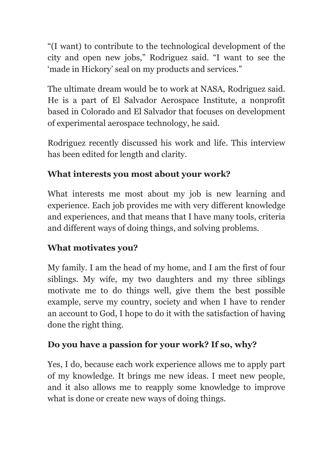"(I want) to contribute to the technological development of the city and open new jobs," Rodriguez said. "I want to see the 'made in Hickory' seal on my products and services."

The ultimate dream would be to work at NASA, Rodriguez said. He is a part of El Salvador Aerospace Institute, a nonprofit based in Colorado and El Salvador that focuses on development of experimental aerospace technology, he said.

Rodriguez recently discussed his work and life. This interview has been edited for length and clarity.

# **What interests you most about your work?**

What interests me most about my job is new learning and experience. Each job provides me with very different knowledge and experiences, and that means that I have many tools, criteria and different ways of doing things, and solving problems.

# **What motivates you?**

My family. I am the head of my home, and I am the first of four siblings. My wife, my two daughters and my three siblings motivate me to do things well, give them the best possible example, serve my country, society and when I have to render an account to God, I hope to do it with the satisfaction of having done the right thing.

# **Do you have a passion for your work? If so, why?**

Yes, I do, because each work experience allows me to apply part of my knowledge. It brings me new ideas. I meet new people, and it also allows me to reapply some knowledge to improve what is done or create new ways of doing things.